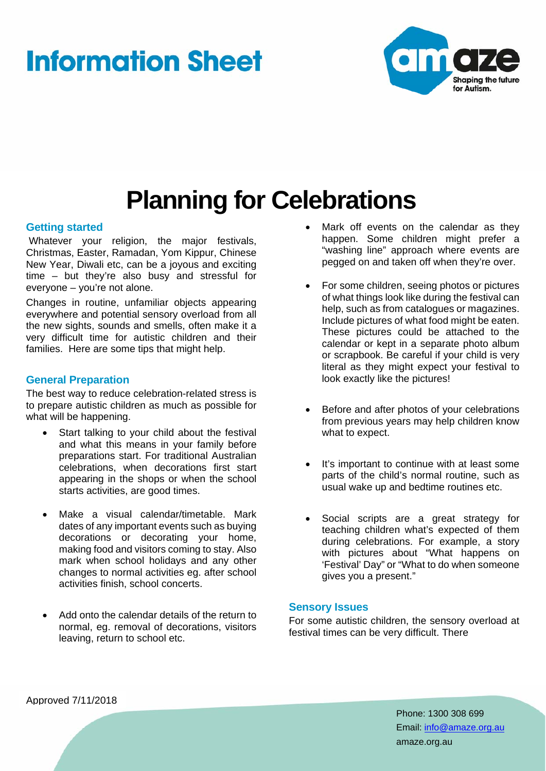# **Information Sheet**



## **Planning for Celebrations**

#### **Getting started**

 Whatever your religion, the major festivals, Christmas, Easter, Ramadan, Yom Kippur, Chinese New Year, Diwali etc, can be a joyous and exciting time – but they're also busy and stressful for everyone – you're not alone.

Changes in routine, unfamiliar objects appearing everywhere and potential sensory overload from all the new sights, sounds and smells, often make it a very difficult time for autistic children and their families. Here are some tips that might help.

#### **General Preparation**

The best way to reduce celebration-related stress is to prepare autistic children as much as possible for what will be happening.

- Start talking to your child about the festival and what this means in your family before preparations start. For traditional Australian celebrations, when decorations first start appearing in the shops or when the school starts activities, are good times.
- Make a visual calendar/timetable. Mark dates of any important events such as buying decorations or decorating your home, making food and visitors coming to stay. Also mark when school holidays and any other changes to normal activities eg. after school activities finish, school concerts.
- Add onto the calendar details of the return to normal, eg. removal of decorations, visitors leaving, return to school etc.
- Mark off events on the calendar as they happen. Some children might prefer a "washing line" approach where events are pegged on and taken off when they're over.
- For some children, seeing photos or pictures of what things look like during the festival can help, such as from catalogues or magazines. Include pictures of what food might be eaten. These pictures could be attached to the calendar or kept in a separate photo album or scrapbook. Be careful if your child is very literal as they might expect your festival to look exactly like the pictures!
- Before and after photos of your celebrations from previous years may help children know what to expect.
- It's important to continue with at least some parts of the child's normal routine, such as usual wake up and bedtime routines etc.
- Social scripts are a great strategy for teaching children what's expected of them during celebrations. For example, a story with pictures about "What happens on 'Festival' Day" or "What to do when someone gives you a present."

#### **Sensory Issues**

For some autistic children, the sensory overload at festival times can be very difficult. There

Approved 7/11/2018